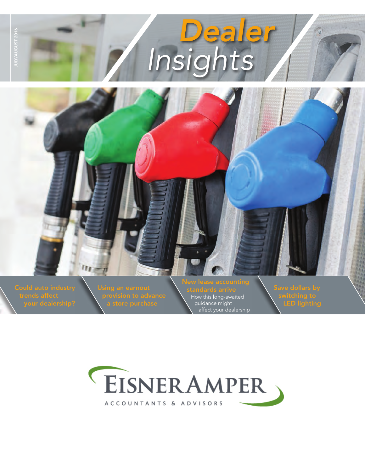

# *Dealer Insights*



your dealership?

provision to advance

How this long-awaited guidance might affect your dealership LED lighting

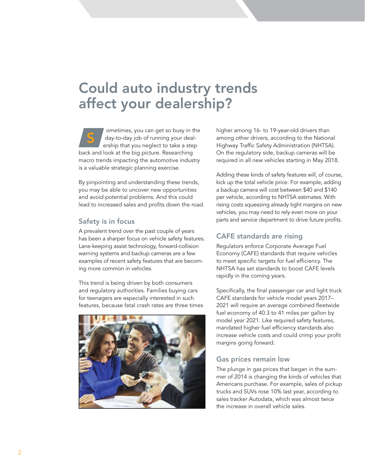### Could auto industry trends affect your dealership?

ometimes, you can get so busy in the day-to-day job of running your dealership that you neglect to take a step back and look at the big picture. Researching macro trends impacting the automotive industry is a valuable strategic planning exercise. S

By pinpointing and understanding these trends, you may be able to uncover new opportunities and avoid potential problems. And this could lead to increased sales and profits down the road.

#### Safety is in focus

A prevalent trend over the past couple of years has been a sharper focus on vehicle safety features. Lane-keeping assist technology, forward-collision warning systems and backup cameras are a few examples of recent safety features that are becoming more common in vehicles.

This trend is being driven by both consumers and regulatory authorities. Families buying cars for teenagers are especially interested in such features, because fatal crash rates are three times



higher among 16- to 19-year-old drivers than among other drivers, according to the National Highway Traffic Safety Administration (NHTSA). On the regulatory side, backup cameras will be required in all new vehicles starting in May 2018.

Adding these kinds of safety features will, of course, kick up the total vehicle price. For example, adding a backup camera will cost between \$40 and \$140 per vehicle, according to NHTSA estimates. With rising costs squeezing already tight margins on new vehicles, you may need to rely even more on your parts and service department to drive future profits.

#### CAFE standards are rising

Regulators enforce Corporate Average Fuel Economy (CAFE) standards that require vehicles to meet specific targets for fuel efficiency. The NHTSA has set standards to boost CAFE levels rapidly in the coming years.

Specifically, the final passenger car and light truck CAFE standards for vehicle model years 2017– 2021 will require an average combined fleetwide fuel economy of 40.3 to 41 miles per gallon by model year 2021. Like required safety features, mandated higher fuel efficiency standards also increase vehicle costs and could crimp your profit margins going forward.

#### Gas prices remain low

The plunge in gas prices that began in the summer of 2014 is changing the kinds of vehicles that Americans purchase. For example, sales of pickup trucks and SUVs rose 10% last year, according to sales tracker Autodata, which was almost twice the increase in overall vehicle sales.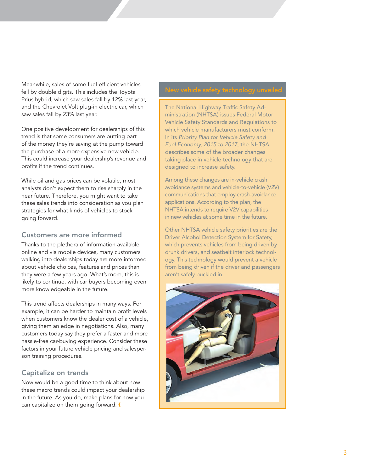Meanwhile, sales of some fuel-efficient vehicles fell by double digits. This includes the Toyota Prius hybrid, which saw sales fall by 12% last year, and the Chevrolet Volt plug-in electric car, which saw sales fall by 23% last year.

One positive development for dealerships of this trend is that some consumers are putting part of the money they're saving at the pump toward the purchase of a more expensive new vehicle. This could increase your dealership's revenue and profits if the trend continues.

While oil and gas prices can be volatile, most analysts don't expect them to rise sharply in the near future. Therefore, you might want to take these sales trends into consideration as you plan strategies for what kinds of vehicles to stock going forward.

#### Customers are more informed

Thanks to the plethora of information available online and via mobile devices, many customers walking into dealerships today are more informed about vehicle choices, features and prices than they were a few years ago. What's more, this is likely to continue, with car buyers becoming even more knowledgeable in the future.

This trend affects dealerships in many ways. For example, it can be harder to maintain profit levels when customers know the dealer cost of a vehicle, giving them an edge in negotiations. Also, many customers today say they prefer a faster and more hassle-free car-buying experience. Consider these factors in your future vehicle pricing and salesperson training procedures.

#### Capitalize on trends

Now would be a good time to think about how these macro trends could impact your dealership in the future. As you do, make plans for how you can capitalize on them going forward.

### New vehicle safety technology unveiled

The National Highway Traffic Safety Administration (NHTSA) issues Federal Motor Vehicle Safety Standards and Regulations to which vehicle manufacturers must conform. In its *Priority Plan for Vehicle Safety and Fuel Economy, 2015 to 2017*, the NHTSA describes some of the broader changes taking place in vehicle technology that are designed to increase safety.

Among these changes are in-vehicle crash avoidance systems and vehicle-to-vehicle (V2V) communications that employ crash-avoidance applications. According to the plan, the NHTSA intends to require V2V capabilities in new vehicles at some time in the future.

Other NHTSA vehicle safety priorities are the Driver Alcohol Detection System for Safety, which prevents vehicles from being driven by drunk drivers, and seatbelt interlock technology. This technology would prevent a vehicle from being driven if the driver and passengers aren't safely buckled in.

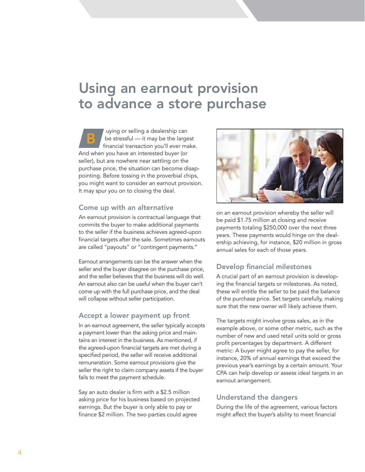### Using an earnout provision to advance a store purchase

uying or selling a dealership can be stressful — it may be the largest financial transaction you'll ever make. And when you have an interested buyer (or seller), but are nowhere near settling on the purchase price, the situation can become disappointing. Before tossing in the proverbial chips, you might want to consider an earnout provision. It may spur you on to closing the deal. B

#### Come up with an alternative

An earnout provision is contractual language that commits the buyer to make additional payments to the seller if the business achieves agreed-upon financial targets after the sale. Sometimes earnouts are called "payouts" or "contingent payments."

Earnout arrangements can be the answer when the seller and the buyer disagree on the purchase price, and the seller believes that the business will do well. An earnout also can be useful when the buyer can't come up with the full purchase price, and the deal will collapse without seller participation.

#### Accept a lower payment up front

In an earnout agreement, the seller typically accepts a payment lower than the asking price and maintains an interest in the business. As mentioned, if the agreed-upon financial targets are met during a specified period, the seller will receive additional remuneration. Some earnout provisions give the seller the right to claim company assets if the buyer fails to meet the payment schedule.

Say an auto dealer is firm with a \$2.5 million asking price for his business based on projected earnings. But the buyer is only able to pay or finance \$2 million. The two parties could agree



on an earnout provision whereby the seller will be paid \$1.75 million at closing and receive payments totaling \$250,000 over the next three years. These payments would hinge on the dealership achieving, for instance, \$20 million in gross annual sales for each of those years.

#### Develop financial milestones

A crucial part of an earnout provision is developing the financial targets or milestones. As noted, these will entitle the seller to be paid the balance of the purchase price. Set targets carefully, making sure that the new owner will likely achieve them.

The targets might involve gross sales, as in the example above, or some other metric, such as the number of new and used retail units sold or gross profit percentages by department. A different metric: A buyer might agree to pay the seller, for instance, 20% of annual earnings that exceed the previous year's earnings by a certain amount. Your CPA can help develop or assess ideal targets in an earnout arrangement.

#### Understand the dangers

During the life of the agreement, various factors might affect the buyer's ability to meet financial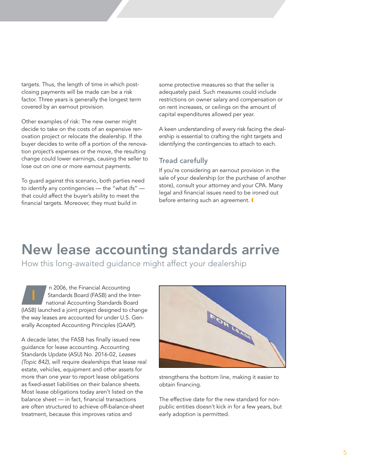targets. Thus, the length of time in which postclosing payments will be made can be a risk factor. Three years is generally the longest term covered by an earnout provision.

Other examples of risk: The new owner might decide to take on the costs of an expensive renovation project or relocate the dealership. If the buyer decides to write off a portion of the renovation project's expenses or the move, the resulting change could lower earnings, causing the seller to lose out on one or more earnout payments.

To guard against this scenario, both parties need to identify any contingencies — the "what ifs" that could affect the buyer's ability to meet the financial targets. Moreover, they must build in

some protective measures so that the seller is adequately paid. Such measures could include restrictions on owner salary and compensation or on rent increases, or ceilings on the amount of capital expenditures allowed per year.

A keen understanding of every risk facing the dealership is essential to crafting the right targets and identifying the contingencies to attach to each.

#### Tread carefully

If you're considering an earnout provision in the sale of your dealership (or the purchase of another store), consult your attorney and your CPA. Many legal and financial issues need to be ironed out before entering such an agreement.

### New lease accounting standards arrive

How this long-awaited guidance might affect your dealership

n 2006, the Financial Accounting Standards Board (FASB) and the International Accounting Standards Board (IASB) launched a joint project designed to change the way leases are accounted for under U.S. Generally Accepted Accounting Principles (GAAP).

A decade later, the FASB has finally issued new guidance for lease accounting. Accounting Standards Update (ASU) No. 2016-02, *Leases (Topic 842)*, will require dealerships that lease real estate, vehicles, equipment and other assets for more than one year to report lease obligations as fixed-asset liabilities on their balance sheets. Most lease obligations today aren't listed on the balance sheet — in fact, financial transactions are often structured to achieve off-balance-sheet treatment, because this improves ratios and



strengthens the bottom line, making it easier to obtain financing.

The effective date for the new standard for nonpublic entities doesn't kick in for a few years, but early adoption is permitted.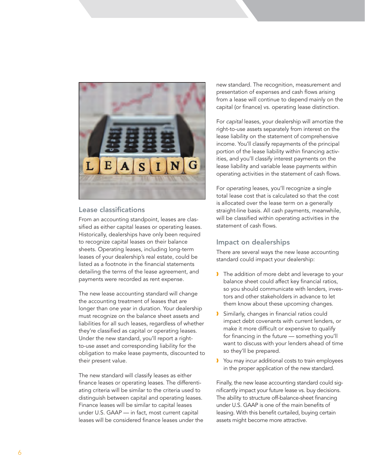

#### Lease classifications

From an accounting standpoint, leases are classified as either capital leases or operating leases. Historically, dealerships have only been required to recognize capital leases on their balance sheets. Operating leases, including long-term leases of your dealership's real estate, could be listed as a footnote in the financial statements detailing the terms of the lease agreement, and payments were recorded as rent expense.

The new lease accounting standard will change the accounting treatment of leases that are longer than one year in duration. Your dealership must recognize on the balance sheet assets and liabilities for all such leases, regardless of whether they're classified as capital or operating leases. Under the new standard, you'll report a rightto-use asset and corresponding liability for the obligation to make lease payments, discounted to their present value.

The new standard will classify leases as either finance leases or operating leases. The differentiating criteria will be similar to the criteria used to distinguish between capital and operating leases. Finance leases will be similar to capital leases under U.S. GAAP — in fact, most current capital leases will be considered finance leases under the new standard. The recognition, measurement and presentation of expenses and cash flows arising from a lease will continue to depend mainly on the capital (or finance) vs. operating lease distinction.

For *capital* leases, your dealership will amortize the right-to-use assets separately from interest on the lease liability on the statement of comprehensive income. You'll classify repayments of the principal portion of the lease liability within financing activities, and you'll classify interest payments on the lease liability and variable lease payments within operating activities in the statement of cash flows.

For *operating* leases, you'll recognize a single total lease cost that is calculated so that the cost is allocated over the lease term on a generally straight-line basis. All cash payments, meanwhile, will be classified within operating activities in the statement of cash flows.

#### Impact on dealerships

There are several ways the new lease accounting standard could impact your dealership:

- The addition of more debt and leverage to your balance sheet could affect key financial ratios, so you should communicate with lenders, investors and other stakeholders in advance to let them know about these upcoming changes.
- Similarly, changes in financial ratios could impact debt covenants with current lenders, or make it more difficult or expensive to qualify for financing in the future — something you'll want to discuss with your lenders ahead of time so they'll be prepared.
- **I** You may incur additional costs to train employees in the proper application of the new standard.

Finally, the new lease accounting standard could significantly impact your future lease vs. buy decisions. The ability to structure off-balance-sheet financing under U.S. GAAP is one of the main benefits of leasing. With this benefit curtailed, buying certain assets might become more attractive.